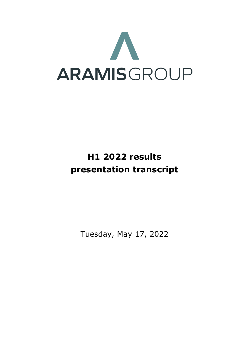

# **H1 2022 results presentation transcript**

Tuesday, May 17, 2022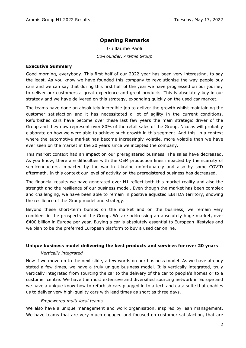# **Opening Remarks**

Guillaume Paoli *Co-Founder, Aramis Group*

### **Executive Summary**

Good morning, everybody. This first half of our 2022 year has been very interesting, to say the least. As you know we have founded this company to revolutionise the way people buy cars and we can say that during this first half of the year we have progressed on our journey to deliver our customers a great experience and great products. This is absolutely key in our strategy and we have delivered on this strategy, expanding quickly on the used car market.

The teams have done an absolutely incredible job to deliver the growth whilst maintaining the customer satisfaction and it has necessitated a lot of agility in the current conditions. Refurbished cars have become over these last few years the main strategic driver of the Group and they now represent over 80% of the retail sales of the Group. Nicolas will probably elaborate on how we were able to achieve such growth in this segment. And this, in a context where the automotive market has become increasingly volatile, more volatile than we have ever seen on the market in the 20 years since we incepted the company.

This market context had an impact on our preregistered business. The sales have decreased. As you know, there are difficulties with the OEM production lines impacted by the scarcity of semiconductors, impacted by the war in Ukraine unfortunately and also by some COVID aftermath. In this context our level of activity on the preregistered business has decreased.

The financial results we have generated over H1 reflect both this market reality and also the strength and the resilience of our business model. Even though the market has been complex and challenging, we have been able to remain in positive adjusted EBITDA territory, showing the resilience of the Group model and strategy.

Beyond these short-term bumps on the market and on the business, we remain very confident in the prospects of the Group. We are addressing an absolutely huge market, over €400 billion in Europe per year. Buying a car is absolutely essential to European lifestyles and we plan to be the preferred European platform to buy a used car online.

## **Unique business model delivering the best products and services for over 20 years**

#### *Vertically integrated*

Now if we move on to the next slide, a few words on our business model. As we have already stated a few times, we have a truly unique business model. It is vertically integrated, truly vertically integrated from sourcing the car to the delivery of the car to people's homes or to a customer centre. We have the most extensive and diversified sourcing network in Europe and we have a unique know-how to refurbish cars plugged in to a tech and data suite that enables us to deliver very high-quality cars with lead times as short as three days.

## *Empowered multi-local teams*

We also have a unique management and work organisation, inspired by lean management. We have teams that are very much engaged and focused on customer satisfaction, that are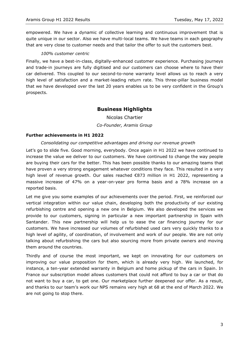empowered. We have a dynamic of collective learning and continuous improvement that is quite unique in our sector. Also we have multi-local teams. We have teams in each geography that are very close to customer needs and that tailor the offer to suit the customers best.

### *100% customer centric*

Finally, we have a best-in-class, digitally-enhanced customer experience. Purchasing journeys and trade-in journeys are fully digitised and our customers can choose where to have their car delivered. This coupled to our second-to-none warranty level allows us to reach a very high level of satisfaction and a market-leading return rate. This three-pillar business model that we have developed over the last 20 years enables us to be very confident in the Group's prospects.

# **Business Highlights**

Nicolas Chartier *Co-Founder, Aramis Group*

### **Further achievements in H1 2022**

## *Consolidating our competitive advantages and driving our revenue growth*

Let's go to slide five. Good morning, everybody. Once again in H1 2022 we have continued to increase the value we deliver to our customers. We have continued to change the way people are buying their cars for the better. This has been possible thanks to our amazing teams that have proven a very strong engagement whatever conditions they face. This resulted in a very high level of revenue growth. Our sales reached €873 million in H1 2022, representing a massive increase of 47% on a year-on-year pro forma basis and a 78% increase on a reported basis.

Let me give you some examples of our achievements over the period. First, we reinforced our vertical integration within our value chain, developing both the productivity of our existing refurbishing centre and opening a new one in Belgium. We also developed the services we provide to our customers, signing in particular a new important partnership in Spain with Santander. This new partnership will help us to ease the car financing journey for our customers. We have increased our volumes of refurbished used cars very quickly thanks to a high level of agility, of coordination, of involvement and work of our people. We are not only talking about refurbishing the cars but also sourcing more from private owners and moving them around the countries.

Thirdly and of course the most important, we kept on innovating for our customers on improving our value proposition for them, which is already very high. We launched, for instance, a ten-year extended warranty in Belgium and home pickup of the cars in Spain. In France our subscription model allows customers that could not afford to buy a car or that do not want to buy a car, to get one. Our marketplace further deepened our offer. As a result, and thanks to our team's work our NPS remains very high at 68 at the end of March 2022. We are not going to stop there.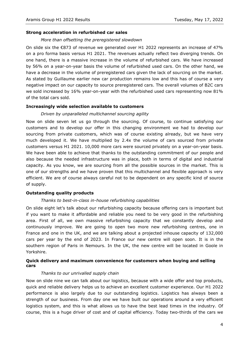#### **Strong acceleration in refurbished car sales**

#### *More than offsetting the preregistered slowdown*

On slide six the  $\epsilon$ 873 of revenue we generated over H1 2022 represents an increase of 47% on a pro forma basis versus H1 2021. The revenues actually reflect two diverging trends. On one hand, there is a massive increase in the volume of refurbished cars. We have increased by 56% on a year-on-year basis the volume of refurbished used cars. On the other hand, we have a decrease in the volume of preregistered cars given the lack of sourcing on the market. As stated by Guillaume earlier new car production remains low and this has of course a very negative impact on our capacity to source preregistered cars. The overall volumes of B2C cars we sold increased by 16% year-on-year with the refurbished used cars representing now 81% of the total cars sold.

#### **Increasingly wide selection available to customers**

#### *Driven by unparalleled multichannel sourcing agility*

Now on slide seven let us go through the sourcing. Of course, to continue satisfying our customers and to develop our offer in this changing environment we had to develop our sourcing from private customers, which was of course existing already, but we have very much developed it. We have multiplied by 2.4x the volume of cars sourced from private customers versus H1 2021. 10,000 more cars were sourced privately on a year-on-year basis. We have been able to achieve that thanks to the outstanding commitment of our people and also because the needed infrastructure was in place, both in terms of digital and industrial capacity. As you know, we are sourcing from all the possible sources in the market. This is one of our strengths and we have proven that this multichannel and flexible approach is very efficient. We are of course always careful not to be dependent on any specific kind of source of supply.

## **Outstanding quality products**

#### *Thanks to best-in-class in-house refurbishing capabilities*

On slide eight let's talk about our refurbishing capacity because offering cars is important but if you want to make it affordable and reliable you need to be very good in the refurbishing area. First of all, we own massive refurbishing capacity that we constantly develop and continuously improve. We are going to open two more new refurbishing centres, one in France and one in the UK, and we are talking about a projected inhouse capacity of 132,000 cars per year by the end of 2023. In France our new centre will open soon. It is in the southern region of Paris in Nemours. In the UK, the new centre will be located in Goole in Yorkshire.

### **Quick delivery and maximum convenience for customers when buying and selling cars**

#### *Thanks to our unrivalled supply chain*

Now on slide nine we can talk about our logistics, because with a wide offer and top products, quick and reliable delivery helps us to achieve an excellent customer experience. Our H1 2022 performance is also largely due to our outstanding logistics. Logistics has always been a strength of our business. From day one we have built our operations around a very efficient logistics system, and this is what allows us to have the best lead times in the industry. Of course, this is a huge driver of cost and of capital efficiency. Today two-thirds of the cars we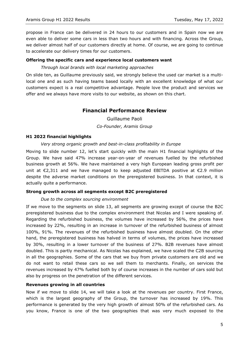propose in France can be delivered in 24 hours to our customers and in Spain now we are even able to deliver some cars in less than two hours and with financing. Across the Group, we deliver almost half of our customers directly at home. Of course, we are going to continue to accelerate our delivery times for our customers.

#### **Offering the specific cars and experience local customers want**

#### *Through local brands with local marketing approaches*

On slide ten, as Guillaume previously said, we strongly believe the used car market is a multilocal one and as such having teams based locally with an excellent knowledge of what our customers expect is a real competitive advantage. People love the product and services we offer and we always have more visits to our website, as shown on this chart.

# **Financial Performance Review**

Guillaume Paoli *Co-Founder, Aramis Group*

#### **H1 2022 financial highlights**

#### *Very strong organic growth and best-in-class profitability in Europe*

Moving to slide number 12, let's start quickly with the main H1 financial highlights of the Group. We have said 47% increase year-on-year of revenues fuelled by the refurbished business growth at 56%. We have maintained a very high European leading gross profit per unit at  $\epsilon$ 2,311 and we have managed to keep adjusted EBITDA positive at  $\epsilon$ 2.9 million despite the adverse market conditions on the preregistered business. In that context, it is actually quite a performance.

## **Strong growth across all segments except B2C preregistered**

#### *Due to the complex sourcing environment*

If we move to the segments on slide 13, all segments are growing except of course the B2C preregistered business due to the complex environment that Nicolas and I were speaking of. Regarding the refurbished business, the volumes have increased by 56%, the prices have increased by 22%, resulting in an increase in turnover of the refurbished business of almost 100%, 91%. The revenues of the refurbished business have almost doubled. On the other hand, the preregistered business has halved in terms of volumes, the prices have increased by 30%, resulting in a lower turnover of the business of 27%. B2B revenues have almost doubled. This is partly mechanical. As Nicolas has explained, we have scaled the C2B sourcing in all the geographies. Some of the cars that we buy from private customers are old and we do not want to retail these cars so we sell them to merchants. Finally, on services the revenues increased by 47% fuelled both by of course increases in the number of cars sold but also by progress on the penetration of the different services.

#### **Revenues growing in all countries**

Now if we move to slide 14, we will take a look at the revenues per country. First France, which is the largest geography of the Group, the turnover has increased by 19%. This performance is generated by the very high growth of almost 50% of the refurbished cars. As you know, France is one of the two geographies that was very much exposed to the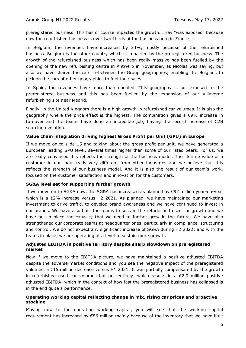preregistered business. This has of course impacted the growth. I say "was exposed" because now the refurbished business is over two-thirds of the business here in France.

In Belgium, the revenues have increased by 34%, mostly because of the refurbished business. Belgium is the other country which is impacted by the preregistered business. The growth of the refurbished business which has been really massive has been fuelled by the opening of the new refurbishing centre in Antwerp in November, as Nicolas was saying, but also we have shared the cars in-between the Group geographies, enabling the Belgians to pick on the cars of other geographies to fuel their sales.

In Spain, the revenues have more than doubled. This geography is not exposed to the preregistered business and this has been fuelled by the expansion of our Villaverde refurbishing site near Madrid.

Finally, in the United Kingdom there is a high growth in refurbished car volumes. It is also the geography where the price effect is the highest. The combination gives a 69% increase in turnover and the teams have done an incredible job, having the record increase of C2B sourcing evolution.

#### **Value chain integration driving highest Gross Profit per Unit (GPU) in Europe**

If we move on to slide 15 and talking about the gross profit per unit, we have generated a European leading GPU level, several times higher than some of our listed peers. For us, we are really convinced this reflects the strength of the business model. The lifetime value of a customer in our industry is very different from other industries and we believe that this reflects the strength of our business model. And it is also the result of our team's work, focused on the customer satisfaction and innovation for the customers.

#### **SG&A level set for supporting further growth**

If we move on to SG&A now, the SG&A has increased as planned by €92 million year-on-year which is a 12% increase versus H2 2021. As planned, we have maintained our marketing investment to drive traffic, to develop brand awareness and we have continued to invest in our brands. We have also built the teams to sustain the refurbished used car growth and we have put in place the capacity that we need to further grow in the future. We have also strengthened our corporate teams at headquarter ones, particularly in compliance, structuring and control. We do not expect any significant increase of SG&A during H2 2022; and with the teams in place, we are operating at a level to sustain more growth.

### **Adjusted EBITDA in positive territory despite sharp slowdown on preregistered market**

Now if we move to the EBITDA picture, we have maintained a positive adjusted EBITDA despite the adverse market conditions and you see the negative impact of the preregistered volumes, a €15 million decrease versus H1 2021. It was partially compensated by the growth in refurbished used car volumes but not entirely, which results in a  $\epsilon$ 2.9 million positive adjusted EBITDA, which in the context of how fast the preregistered business has collapsed is in the end quite a performance.

#### **Operating working capital reflecting change in mix, rising car prices and proactive stocking**

Moving now to the operating working capital, you will see that the working capital requirement has increased by €86 million mainly because of the inventory that we have built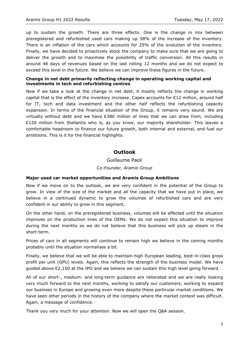up to sustain the growth. There are three effects. One is the change in mix between preregistered and refurbished used cars making up 58% of the increase of the inventory. There is an inflation of the cars which accounts for 25% of the evolution of the inventory. Finally, we have decided to proactively stock the company to make sure that we are going to deliver the growth and to maximise the possibility of traffic conversion. All this results in around 48 days of revenues based on the last rolling 12 months and we do not expect to exceed this level in the future. We believe we can improve these figures in the future.

### **Change in net debt primarily reflecting change in operating working capital and investments in tech and refurbishing centres**

Now if we take a look at the change in net debt, it mostly reflects the change in working capital that is the effect of the inventory increase. Capex accounts for €12 million, around half for IT, tech and data investment and the other half reflects the refurbishing capacity expansion. In terms of the financial situation of the Group, it remains very sound. We are virtually without debt and we have €380 million of lines that we can draw from, including €120 million from Stellantis who is, as you know, our majority shareholder. This leaves a comfortable headroom to finance our future growth, both internal and external, and fuel our ambitions. This is it for the financial highlights.

## **Outlook**

# Guillaume Paoli *Co-Founder, Aramis Group*

#### **Major used car market opportunities and Aramis Group Ambitions**

Now if we move on to the outlook, we are very confident in the potential of the Group to grow. In view of the size of the market and all the capacity that we have put in place, we believe in a continued dynamic to grow the volumes of refurbished cars and are very confident in our ability to grow in this segment.

On the other hand, on the preregistered business, volumes will be affected until the situation improves on the production lines of the OEMs. We do not expect this situation to improve during the next months so we do not believe that this business will pick up steam in the short-term.

Prices of cars in all segments will continue to remain high we believe in the coming months probably until the situation normalises a bit.

Finally, we believe that we will be able to maintain high European leading, best-in-class gross profit per unit (GPU) levels. Again, this reflects the strength of the business model. We have guided above €2,150 at the IPO and we believe we can sustain this high level going forward.

All of our short-, medium- and long-term guidance are reiterated and we are really looking very much forward to the next months, working to satisfy our customers, working to expand our business in Europe and growing even more despite these particular market conditions. We have seen other periods in the history of the company where the market context was difficult. Again, a message of confidence.

Thank you very much for your attention. Now we will open the Q&A session.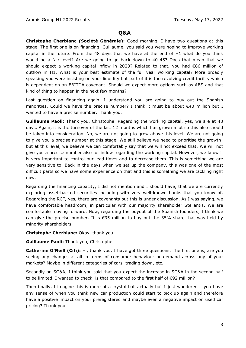## **Q&A**

**Christophe Cherblanc (Société Générale):** Good morning. I have two questions at this stage. The first one is on financing. Guillaume, you said you were hoping to improve working capital in the future. From the 48 days that we have at the end of H1 what do you think would be a fair level? Are we going to go back down to 40-45? Does that mean that we should expect a working capital inflow in 2023? Related to that, you had €86 million of outflow in H1. What is your best estimate of the full year working capital? More broadly speaking you were insisting on your liquidity but part of it is the revolving credit facility which is dependent on an EBITDA covenant. Should we expect more options such as ABS and that kind of thing to happen in the next few months?

Last question on financing again, I understand you are going to buy out the Spanish minorities. Could we have the precise number? I think it must be about €40 million but I wanted to have a precise number. Thank you.

**Guillaume Paoli:** Thank you, Christophe. Regarding the working capital, yes, we are at 48 days. Again, it is the turnover of the last 12 months which has grown a lot so this also should be taken into consideration. No, we are not going to grow above this level. We are not going to give you a precise number at this stage. We still believe we need to prioritise the growth; but at this level, we believe we can comfortably say that we will not exceed that. We will not give you a precise number also for inflow regarding the working capital. However, we know it is very important to control our lead times and to decrease them. This is something we are very sensitive to. Back in the days when we set up the company, this was one of the most difficult parts so we have some experience on that and this is something we are tackling right now.

Regarding the financing capacity, I did not mention and I should have, that we are currently exploring asset-backed securities including with very well-known banks that you know of. Regarding the RCF, yes, there are covenants but this is under discussion. As I was saying, we have comfortable headroom, in particular with our majority shareholder Stellantis. We are comfortable moving forward. Now, regarding the buyout of the Spanish founders, I think we can give the precise number. It is  $\epsilon$ 35 million to buy out the 35% share that was held by minority shareholders.

#### **Christophe Cherblanc:** Okay, thank you.

**Guillaume Paoli:** Thank you, Christophe.

**Catherine O'Neill (Citi):** Hi, thank you. I have got three questions. The first one is, are you seeing any changes at all in terms of consumer behaviour or demand across any of your markets? Maybe in different categories of cars, trading down, etc.

Secondly on SG&A, I think you said that you expect the increase in SG&A in the second half to be limited. I wanted to check, is that compared to the first half of €92 million?

Then finally, I imagine this is more of a crystal ball actually but I just wondered if you have any sense of when you think new car production could start to pick up again and therefore have a positive impact on your preregistered and maybe even a negative impact on used car pricing? Thank you.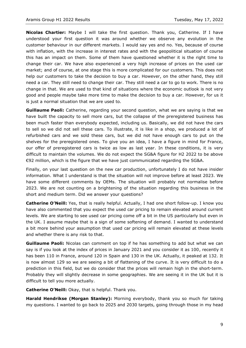**Nicolas Chartier:** Maybe I will take the first question. Thank you, Catherine. If I have understood your first question it was around whether we observe any evolution in the customer behaviour in our different markets. I would say yes and no. Yes, because of course with inflation, with the increase in interest rates and with the geopolitical situation of course this has an impact on them. Some of them have questioned whether it is the right time to change their car. We have also experienced a very high increase of prices on the used car market; and of course, at one stage this is more complicated for our customers. This does not help our customers to take the decision to buy a car. However, on the other hand, they still need a car. They still need to change their car. They still need a car to go to work. There is no change in that. We are used to that kind of situations where the economic outlook is not very good and people maybe take more time to make the decision to buy a car. However, for us it is just a normal situation that we are used to.

**Guillaume Paoli:** Catherine, regarding your second question, what we are saying is that we have built the capacity to sell more cars, but the collapse of the preregistered business has been much faster than everybody expected, including us. Basically, we did not have the cars to sell so we did not sell these cars. To illustrate, it is like in a shop, we produced a lot of refurbished cars and we sold these cars, but we did not have enough cars to put on the shelves for the preregistered ones. To give you an idea, I have a figure in mind for France, our offer of preregistered cars is twice as low as last year. In these conditions, it is very difficult to maintain the volumes. We do not expect the SG&A figure for H2 2022 to be above €92 million, which is the figure that we have just communicated regarding the SG&A.

Finally, on your last question on the new car production, unfortunately I do not have insider information. What I understand is that the situation will not improve before at least 2023. We have some different comments by OEMs. The situation will probably not normalise before 2023. We are not counting on a brightening of the situation regarding this business in the short and medium term. Did we answer your questions?

**Catherine O'Neill:** Yes, that is really helpful. Actually, I had one short follow-up. I know you have also commented that you expect the used car pricing to remain elevated around current levels. We are starting to see used car pricing come off a bit in the US particularly but even in the UK. I assume maybe that is a sign of some softening of demand. I wanted to understand a bit more behind your assumption that used car pricing will remain elevated at these levels and whether there is any risk to that.

**Guillaume Paoli:** Nicolas can comment on top if he has something to add but what we can say is if you look at the index of prices in January 2021 and you consider it as 100, recently it has been 110 in France, around 120 in Spain and 130 in the UK. Actually, it peaked at 132. It is now almost 129 so we are seeing a bit of flattening of the curve. It is very difficult to do a prediction in this field, but we do consider that the prices will remain high in the short-term. Probably they will slightly decrease in some geographies. We are seeing it in the UK but it is difficult to tell you more actually.

**Catherine O'Neill:** Okay, that is helpful. Thank you.

**Harald Hendrikse (Morgan Stanley):** Morning everybody, thank you so much for taking my questions. I wanted to go back to 2025 and 2030 targets, going through those in my head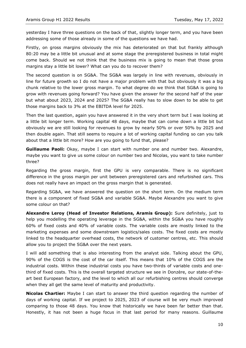yesterday I have three questions on the back of that, slightly longer term, and you have been addressing some of those already in some of the questions we have had.

Firstly, on gross margins obviously the mix has deteriorated on that but frankly although 80:20 may be a little bit unusual and at some stage the preregistered business in total might come back. Should we not think that the business mix is going to mean that those gross margins stay a little bit lower? What can you do to recover them?

The second question is on SG&A. The SG&A was largely in line with revenues, obviously in line for future growth so I do not have a major problem with that but obviously it was a big chunk relative to the lower gross margin. To what degree do we think that SG&A is going to grow with revenues going forward? You have given the answer for the second half of the year but what about 2023, 2024 and 2025? The SG&A really has to slow down to be able to get those margins back to 3% at the EBITDA level for 2025.

Then the last question, again you have answered it in the very short term but I was looking at a little bit longer term. Working capital 48 days, maybe that can come down a little bit but obviously we are still looking for revenues to grow by nearly 50% or over 50% by 2025 and then double again. That still seems to require a lot of working capital funding so can you talk about that a little bit more? How are you going to fund that, please?

**Guillaume Paoli:** Okay, maybe I can start with number one and number two. Alexandre, maybe you want to give us some colour on number two and Nicolas, you want to take number three?

Regarding the gross margin, first the GPU is very comparable. There is no significant difference in the gross margin per unit between preregistered cars and refurbished cars. This does not really have an impact on the gross margin that is generated.

Regarding SG&A, we have answered the question on the short term. On the medium term there is a component of fixed SG&A and variable SG&A. Maybe Alexandre you want to give some colour on that?

**Alexandre Leroy (Head of Investor Relations, Aramis Group):** Sure definitely, just to help you modelling the operating leverage in the SG&A, within the SG&A you have roughly 60% of fixed costs and 40% of variable costs. The variable costs are mostly linked to the marketing expenses and some downstream logistics/sales costs. The fixed costs are mostly linked to the headquarter overhead costs, the network of customer centres, etc. This should allow you to project the SG&A over the next years.

I will add something that is also interesting from the analyst side. Talking about the GPU, 90% of the COGS is the cost of the car itself. This means that 10% of the COGS are the industrial costs. Within these industrial costs you have two-thirds of variable costs and onethird of fixed costs. This is the overall targeted structure we see in Donzère, our state-of-theart best European factory, and the level to which all our refurbishing centres should converge when they all get the same level of maturity and productivity.

**Nicolas Chartier:** Maybe I can start to answer the third question regarding the number of days of working capital. If we project to 2025, 2023 of course will be very much improved comparing to those 48 days. You know that historically we have been far better than that. Honestly, it has not been a huge focus in that last period for many reasons. Guillaume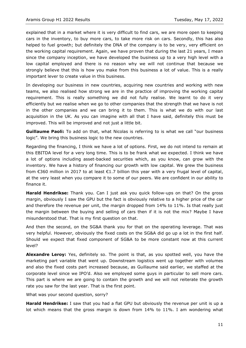explained that in a market where it is very difficult to find cars, we are more open to keeping cars in the inventory, to buy more cars, to take more risk on cars. Secondly, this has also helped to fuel growth; but definitely the DNA of the company is to be very, very efficient on the working capital requirement. Again, we have proven that during the last 21 years, I mean since the company inception, we have developed the business up to a very high level with a low capital employed and there is no reason why we will not continue that because we strongly believe that this is how you make from this business a lot of value. This is a really important lever to create value in this business.

In developing our business in new countries, acquiring new countries and working with new teams, we also realised how strong we are in the practice of improving the working capital requirement. This is really something we did not fully realise. We learnt to do it very efficiently but we realise when we go to other companies that the strength that we have is not in the other companies and we can bring it to them. This is what we do with our last acquisition in the UK. As you can imagine with all that I have said, definitely this must be improved. This will be improved and not just a little bit.

**Guillaume Paoli:** To add on that, what Nicolas is referring to is what we call "our business logic". We bring this business logic to the new countries.

Regarding the financing, I think we have a lot of options. First, we do not intend to remain at this EBITDA level for a very long time. This is to be frank what we expected. I think we have a lot of options including asset-backed securities which, as you know, can grow with the inventory. We have a history of financing our growth with low capital. We grew the business from  $\epsilon$ 360 million in 2017 to at least  $\epsilon$ 1.7 billion this year with a very frugal level of capital, at the very least when you compare it to some of our peers. We are confident in our ability to finance it.

**Harald Hendrikse:** Thank you. Can I just ask you quick follow-ups on that? On the gross margin, obviously I saw the GPU but the fact is obviously relative to a higher price of the car and therefore the revenue per unit, the margin dropped from 14% to 11%. Is that really just the margin between the buying and selling of cars then if it is not the mix? Maybe I have misunderstood that. That is my first question on that.

And then the second, on the SG&A thank you for that on the operating leverage. That was very helpful. However, obviously the fixed costs on the SG&A did go up a lot in the first half. Should we expect that fixed component of SG&A to be more constant now at this current level?

**Alexandre Leroy:** Yes, definitely so. The point is that, as you spotted well, you have the marketing part variable that went up. Downstream logistics went up together with volumes and also the fixed costs part increased because, as Guillaume said earlier, we staffed at the corporate level since we IPO'd. Also we employed some guys in particular to sell more cars. This part is where we are going to contain the growth and we will not reiterate the growth rate you saw for the last year. That is the first point.

What was your second question, sorry?

**Harald Hendrikse:** I saw that you had a flat GPU but obviously the revenue per unit is up a lot which means that the gross margin is down from 14% to 11%. I am wondering what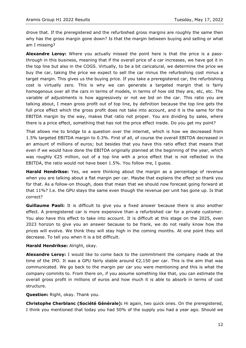drove that. If the preregistered and the refurbished gross margins are roughly the same then why has the gross margin gone down? Is that the margin between buying and selling or what am I missing?

**Alexandre Leroy:** Where you actually missed the point here is that the price is a passthrough in this business, meaning that if the overall price of a car increases, we have got it in the top line but also in the COGS. Virtually, to be a bit caricatural, we determine the price we buy the car, taking the price we expect to sell the car minus the refurbishing cost minus a target margin. This gives us the buying price. If you take a preregistered car, the refurbishing cost is virtually zero. This is why we can generate a targeted margin that is fairly homogenous over all the cars in terms of models, in terms of how old they are, etc, etc. The variable of adjustments is how aggressively or not we bid on the car. This ratio you are talking about, I mean gross profit out of top line, by definition because the top line gets the full price effect which the gross profit does not take into account, and it is the same for the EBITDA margin by the way, makes that ratio not proper. You are dividing by sales, where there is a price effect, something that has not the price effect inside. Do you get my point?

That allows me to bridge to a question over the internet, which is how we decreased from 1.5% targeted EBITDA margin to 0.3%. First of all, of course the overall EBITDA decreased in an amount of millions of euros; but besides that you have this ratio effect that means that even if we would have done the EBITDA originally planned at the beginning of the year, which was roughly €25 million, out of a top line with a price effect that is not reflected in the EBITDA, the ratio would not have been 1.5%. You follow me, I guess.

**Harald Hendrikse:** Yes, we were thinking about the margin as a percentage of revenue when you are talking about a flat margin per car. Maybe that explains the effect so thank you for that. As a follow-on though, does that mean that we should now forecast going forward at that 11%? I.e. the GPU stays the same even though the revenue per unit has gone up. Is that correct?

**Guillaume Paoli:** It is difficult to give you a fixed answer because there is also another effect. A preregistered car is more expensive than a refurbished car for a private customer. You also have this effect to take into account. It is difficult at this stage on the 2025, even 2023 horizon to give you an answer because to be frank, we do not really know how the prices will evolve. We think they will stay high in the coming months. At one point they will decrease. To tell you when it is a bit difficult.

#### **Harald Hendrikse:** Alright, okay.

**Alexandre Leroy:** I would like to come back to the commitment the company made at the time of the IPO. It was a GPU fairly stable around  $\epsilon$ 2,150 per car. This is the aim that was communicated. We go back to the margin per car you were mentioning and this is what the company commits to. From there on, if you assume something like that, you can estimate the overall gross profit in millions of euros and how much it is able to absorb in terms of cost structure.

#### **Question:** Right, okay. Thank you.

**Christophe Cherblanc (Société Générale):** Hi again, two quick ones. On the preregistered, I think you mentioned that today you had 50% of the supply you had a year ago. Should we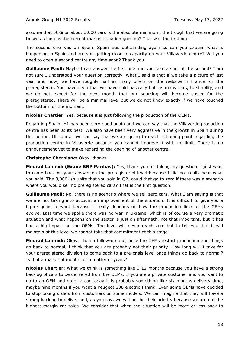assume that 50% or about 3,000 cars is the absolute minimum, the trough that we are going to see as long as the current market situation goes on? That was the first one.

The second one was on Spain. Spain was outstanding again so can you explain what is happening in Spain and are you getting close to capacity on your Villaverde centre? Will you need to open a second centre any time soon? Thank you.

**Guillaume Paoli:** Maybe I can answer the first one and you take a shot at the second? I am not sure I understood your question correctly. What I said is that if we take a picture of last year and now, we have roughly half as many offers on the website in France for the preregistered. You have seen that we have sold basically half as many cars, to simplify, and we do not expect for the next month that our sourcing will become easier for the preregistered. There will be a minimal level but we do not know exactly if we have touched the bottom for the moment.

**Nicolas Chartier**: Yes, because it is just following the production of the OEMs.

Regarding Spain, H1 has been very good again and we can say that the Villaverde production centre has been at its best. We also have been very aggressive in the growth in Spain during this period. Of course, we can say that we are going to reach a tipping point regarding the production centre in Villaverde because you cannot improve it with no limit. There is no announcement yet to make regarding the opening of another centre.

#### **Christophe Cherblanc:** Okay, thanks.

**Mourad Lahmidi (Exane BNP Paribas):** Yes, thank you for taking my question. I just want to come back on your answer on the preregistered level because I did not really hear what you said. The 3,000-ish units that you sold in Q2, could that go to zero if there was a scenario where you would sell no preregistered cars? That is the first question.

**Guillaume Paoli:** No, there is no scenario where we sell zero cars. What I am saying is that we are not taking into account an improvement of the situation. It is difficult to give you a figure going forward because it really depends on how the production lines of the OEMs evolve. Last time we spoke there was no war in Ukraine, which is of course a very dramatic situation and what happens on the sector is just an aftermath, not that important, but it has had a big impact on the OEMs. The level will never reach zero but to tell you that it will maintain at this level we cannot take that commitment at this stage.

**Mourad Lahmidi:** Okay. Then a follow-up one, once the OEMs restart production and things go back to normal, I think that you are probably not their priority. How long will it take for your preregistered division to come back to a pre-crisis level once things go back to normal? Is that a matter of months or a matter of years?

**Nicolas Chartier:** What we think is something like 6-12 months because you have a strong backlog of cars to be delivered from the OEMs. If you are a private customer and you want to go to an OEM and order a car today it is probably something like six months delivery time, maybe nine months if you want a Peugeot 208 electric I think. Even some OEMs have decided to stop taking orders from customers on some models. We can imagine that they will have a strong backlog to deliver and, as you say, we will not be their priority because we are not the highest margin car sales. We consider that when the situation will be more or less back to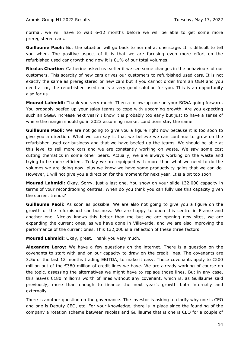normal, we will have to wait 6-12 months before we will be able to get some more preregistered cars.

**Guillaume Paoli:** But the situation will go back to normal at one stage. It is difficult to tell you when. The positive aspect of it is that we are focusing even more effort on the refurbished used car growth and now it is 81% of our total volumes.

**Nicolas Chartier:** Catherine asked us earlier if we see some changes in the behaviours of our customers. This scarcity of new cars drives our customers to refurbished used cars. It is not exactly the same as preregistered or new cars but if you cannot order from an OEM and you need a car, the refurbished used car is a very good solution for you. This is an opportunity also for us.

**Mourad Lahmidi:** Thank you very much. Then a follow-up one on your SG&A going forward. You probably beefed up your sales teams to cope with upcoming growth. Are you expecting such an SG&A increase next year? I know it is probably too early but just to have a sense of where the margin should go in 2023 assuming market conditions stay the same.

**Guillaume Paoli:** We are not going to give you a figure right now because it is too soon to give you a direction. What we can say is that we believe we can continue to grow on the refurbished used car business and that we have beefed up the teams. We should be able at this level to sell more cars and we are constantly working on waste. We saw some cost cutting thematics in some other peers. Actually, we are always working on the waste and trying to be more efficient. Today we are equipped with more than what we need to do the volumes we are doing now, plus we know we have some productivity gains that we can do. However, I will not give you a direction for the moment for next year. It is a bit too soon.

**Mourad Lahmidi:** Okay. Sorry, just a last one. You show on your slide 132,000 capacity in terms of your reconditioning centres. When do you think you can fully use this capacity given the current trends?

**Guillaume Paoli:** As soon as possible. We are also not going to give you a figure on the growth of the refurbished car business. We are happy to open this centre in France and another one. Nicolas knows this better than me but we are opening new sites, we are expanding the current ones, as we have done in Villaverde, and we are also improving the performance of the current ones. This 132,000 is a reflection of these three factors.

**Mourad Lahmidi:** Okay, great. Thank you very much.

**Alexandre Leroy:** We have a few questions on the internet. There is a question on the covenants to start with and on our capacity to draw on the credit lines. The covenants are 3.5x of the last 12 months trading EBITDA, to make it easy. These covenants apply to  $\epsilon$ 200 million out of the €380 million of credit lines we have. We are already working of course on the topic, assessing the alternatives we might have to replace those lines. But in any case, this leaves €180 million's worth of lines without any covenant, which is, as Guillaume said previously, more than enough to finance the next year's growth both internally and externally.

There is another question on the governance. The investor is asking to clarify why one is CEO and one is Deputy CEO, etc. For your knowledge, there is in place since the founding of the company a rotation scheme between Nicolas and Guillaume that is one is CEO for a couple of